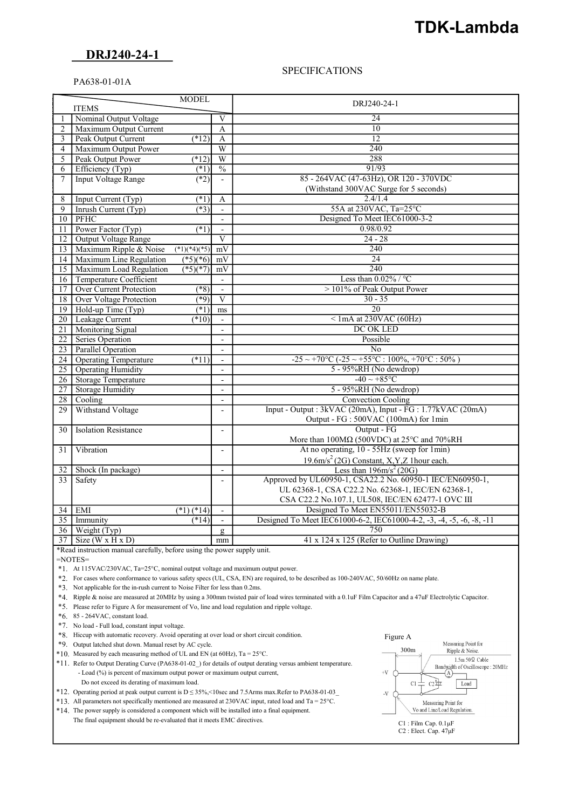# TDK-Lambda

## DRJ240-24-1

#### **SPECIFICATIONS**

### PA638-01-01A

|                 | <b>MODEL</b>                   |                          |                                                                |                                                                               |  |  |
|-----------------|--------------------------------|--------------------------|----------------------------------------------------------------|-------------------------------------------------------------------------------|--|--|
| <b>ITEMS</b>    |                                |                          |                                                                | DRJ240-24-1                                                                   |  |  |
|                 | Nominal Output Voltage         |                          |                                                                | 24                                                                            |  |  |
| 2               | Maximum Output Current         |                          | $\mathbf{A}$                                                   | 10                                                                            |  |  |
| $\overline{3}$  | Peak Output Current            | (12)                     | A                                                              | 12                                                                            |  |  |
| $\overline{4}$  | Maximum Output Power           |                          | W                                                              | 240                                                                           |  |  |
| 5               | Peak Output Power              | $(*12)$                  | W                                                              | 288                                                                           |  |  |
| 6               | Efficiency (Typ)               | (1)                      | $\overline{\frac{0}{0}}$                                       | 91/93                                                                         |  |  |
| 7               | <b>Input Voltage Range</b>     | (2)                      |                                                                | 85 - 264VAC (47-63Hz), OR 120 - 370VDC                                        |  |  |
|                 |                                |                          |                                                                | (Withstand 300VAC Surge for 5 seconds)                                        |  |  |
| 8               | Input Current (Typ)            | $(*1)$                   | A                                                              | 2.4/1.4                                                                       |  |  |
| $\overline{9}$  | Inrush Current (Typ)           | $(*3)$                   | $\blacksquare$                                                 | 55A at 230VAC, Ta=25°C                                                        |  |  |
| 10              | PFHC                           |                          |                                                                | Designed To Meet IEC61000-3-2                                                 |  |  |
| 11              | Power Factor (Typ)             | $(*1)$                   | $\overline{\phantom{a}}$                                       | 0.98/0.92                                                                     |  |  |
| $12-12$         | Output Voltage Range           |                          | V                                                              | $24 - 28$                                                                     |  |  |
| 13              | Maximum Ripple & Noise         | $(*1)(*4)(*5)$           | mV                                                             | 240                                                                           |  |  |
| 14              | Maximum Line Regulation        | $(*5)(*6)$               | mV                                                             | $\overline{24}$                                                               |  |  |
| 15              | Maximum Load Regulation        | $\sqrt{5(1+7)}$          | mV                                                             | 240                                                                           |  |  |
|                 | 16 Temperature Coefficient     |                          |                                                                | Less than $0.02\%$ / °C                                                       |  |  |
| 17              | <b>Over Current Protection</b> | $(*8)$                   | $\blacksquare$                                                 | > 101% of Peak Output Power                                                   |  |  |
| 18 <sup>1</sup> | Over Voltage Protection        | $(*9)$                   | V                                                              | $30 - 35$                                                                     |  |  |
| 19              | Hold-up Time (Typ)             | (1)                      | ms                                                             | $\overline{20}$                                                               |  |  |
| 20              | Leakage Current                | (10)                     | $\blacksquare$                                                 | $\le$ 1mA at 230VAC (60Hz)                                                    |  |  |
| 21              | <b>Monitoring Signal</b>       |                          |                                                                | DC OK LED                                                                     |  |  |
| 22              | Series Operation               |                          | $\overline{\phantom{a}}$                                       | Possible                                                                      |  |  |
| 23              | <b>Parallel Operation</b>      |                          | $\blacksquare$                                                 | No                                                                            |  |  |
| 24              | <b>Operating Temperature</b>   | $(*11)$                  | $\blacksquare$                                                 | $-25 \sim +70\degree C (-25 \sim +55\degree C : 100\% + 70\degree C : 50\% )$ |  |  |
| 25              | <b>Operating Humidity</b>      |                          | $\overline{\phantom{m}}$                                       | 5 - 95%RH (No dewdrop)                                                        |  |  |
| 26              | <b>Storage Temperature</b>     |                          | $\overline{\phantom{a}}$                                       | $-40 \sim +85$ °C                                                             |  |  |
| 27              | <b>Storage Humidity</b>        |                          | $\overline{a}$                                                 | 5 - 95%RH (No dewdrop)                                                        |  |  |
| 28              | Cooling                        |                          | $\blacksquare$                                                 | <b>Convection Cooling</b>                                                     |  |  |
| 29              | Withstand Voltage              |                          | $\overline{a}$                                                 | Input - Output : 3kVAC (20mA), Input - FG : 1.77kVAC (20mA)                   |  |  |
|                 |                                |                          |                                                                | Output - FG : 500VAC (100mA) for 1min                                         |  |  |
| 30              | <b>Isolation Resistance</b>    |                          | $\overline{\phantom{a}}$                                       | Output - FG                                                                   |  |  |
|                 |                                |                          |                                                                | More than 100MΩ (500VDC) at 25°C and 70%RH                                    |  |  |
| 31              | Vibration                      |                          | $\overline{\phantom{a}}$                                       | At no operating, 10 - 55Hz (sweep for 1min)                                   |  |  |
|                 |                                |                          |                                                                | $19.6 \text{m/s}^2$ (2G) Constant, X, Y, Z 1 hour each.                       |  |  |
| 32              | Shock (In package)             |                          | Less than $196 \text{m/s}^2$ (20G)<br>$\overline{\phantom{a}}$ |                                                                               |  |  |
| 33              | Safety                         |                          | $\blacksquare$                                                 | Approved by UL60950-1, CSA22.2 No. 60950-1 IEC/EN60950-1,                     |  |  |
|                 |                                |                          |                                                                | UL 62368-1, CSA C22.2 No. 62368-1, IEC/EN 62368-1,                            |  |  |
|                 |                                |                          |                                                                | CSA C22.2 No.107.1, UL508, IEC/EN 62477-1 OVC III                             |  |  |
| 34              | EMI                            | $\overline{(^*1)(^*14)}$ | $\overline{\phantom{a}}$                                       | Designed To Meet EN55011/EN55032-B                                            |  |  |
| $\overline{35}$ | Immunity                       | (14)                     |                                                                | Designed To Meet IEC61000-6-2, IEC61000-4-2, -3, -4, -5, -6, -8, -11          |  |  |
| 36              | Weight (Typ)                   |                          | g                                                              | 750                                                                           |  |  |
| 37              | $Size(W \times H \times D)$    |                          | mm                                                             | 41 x 124 x 125 (Refer to Outline Drawing)                                     |  |  |

\*Read instruction manual carefully, before using the power supply unit.

 $=$ NOTES=

\*1. At 115VAC/230VAC, Ta=25°C, nominal output voltage and maximum output power.

\*2. For cases where conformance to various safety specs (UL, CSA, EN) are required, to be described as 100-240VAC, 50/60Hz on name plate.

\*3. Not applicable for the in-rush current to Noise Filter for less than 0.2ms.

\*4. Ripple & noise are measured at 20MHz by using a 300mm twisted pair of load wires terminated with a 0.1uF Film Capacitor and a 47uF Electrolytic Capacitor.

\*5. Please refer to Figure A for measurement of Vo, line and load regulation and ripple voltage.

\*6. 85 - 264VAC, constant load.

\*7. No load - Full load, constant input voltage.

\*8. Hiccup with automatic recovery. Avoid operating at over load or short circuit condition.

\*9. Output latched shut down. Manual reset by AC cycle.

\*10. Measured by each measuring method of UL and EN (at 60Hz), Ta = 25°C.

 \*11. Refer to Output Derating Curve (PA638-01-02\_) for details of output derating versus ambient temperature. - Load (%) is percent of maximum output power or maximum output current,

Do not exceed its derating of maximum load.

\*12. Operating period at peak output current is D ≤ 35%,<10sec and 7.5Arms max.Refer to PA638-01-03\_

 $*13$ . All parameters not specifically mentioned are measured at 230VAC input, rated load and Ta = 25°C.

 \*14. The power supply is considered a component which will be installed into a final equipment. The final equipment should be re-evaluated that it meets EMC directives.

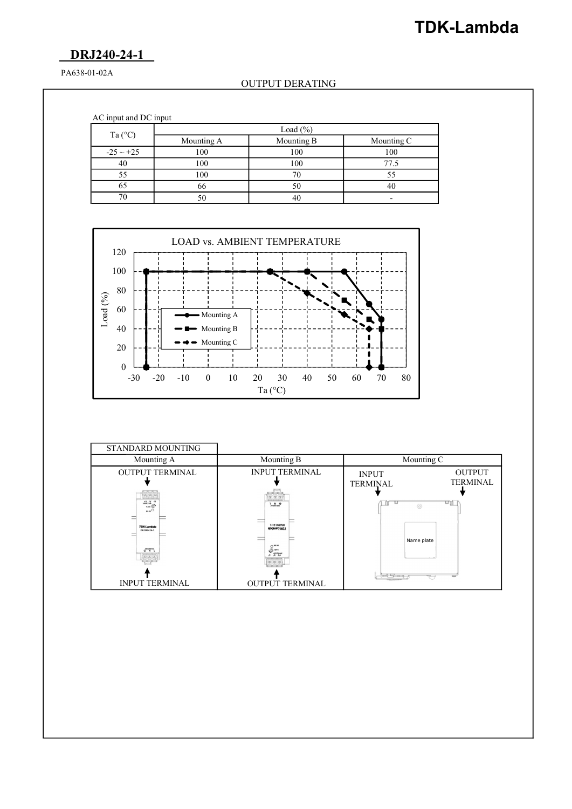# TDK-Lambda

## DRJ240-24-1

PA638-01-02A

### OUTPUT DERATING

AC input and DC input

|                  | Load $(\% )$ |            |                          |  |  |  |  |
|------------------|--------------|------------|--------------------------|--|--|--|--|
| Ta $(^{\circ}C)$ | Mounting A   | Mounting B | Mounting C               |  |  |  |  |
| $-25 \sim +25$   | 100          | 100        | 100                      |  |  |  |  |
| 40               | 100          | 100        | 77.5                     |  |  |  |  |
|                  | 100          |            |                          |  |  |  |  |
| 65               | 66           | 50         |                          |  |  |  |  |
|                  |              | 40         | $\overline{\phantom{0}}$ |  |  |  |  |



| Mounting A<br>Mounting B<br>Mounting C<br><b>INPUT TERMINAL</b><br><b>OUTPUT</b><br><b>OUTPUT TERMINAL</b><br><b>INPUT</b><br><b>TERMINAL</b><br><b>TERMINAL</b><br>$(0)$ $(0)$ $(0)$<br>$\circ \circ \circ$<br>$\begin{picture}(180,10) \put(0,0){\line(1,0){10}} \put(10,0){\line(1,0){10}} \put(10,0){\line(1,0){10}} \put(10,0){\line(1,0){10}} \put(10,0){\line(1,0){10}} \put(10,0){\line(1,0){10}} \put(10,0){\line(1,0){10}} \put(10,0){\line(1,0){10}} \put(10,0){\line(1,0){10}} \put(10,0){\line(1,0){10}} \put(10,0){\line(1,0){10}} \put(10,0){\line($<br>णi⊥<br>$\frac{1}{2}$ M $\oplus$<br>$\langle \odot$<br>Ker<br>I-PZ-OVZ/NO<br>TDK-Lambda<br>DRJ240-24-1<br>EDGRUET-NOLL<br>Name plate<br>$O^{1030}$<br>$\overset{100-240\text{ GeV}}{0}$<br><b>CONTRACTOR</b><br>$ \!\!\:\!\!\circ\!\!\:\!\!\circ\!\!\:\!\circ\!\!\:\!\!\circ\!\!\:\!\!\circ$<br>  0   0   0 | STANDARD MOUNTING |  |  |
|-----------------------------------------------------------------------------------------------------------------------------------------------------------------------------------------------------------------------------------------------------------------------------------------------------------------------------------------------------------------------------------------------------------------------------------------------------------------------------------------------------------------------------------------------------------------------------------------------------------------------------------------------------------------------------------------------------------------------------------------------------------------------------------------------------------------------------------------------------------------------------------|-------------------|--|--|
|                                                                                                                                                                                                                                                                                                                                                                                                                                                                                                                                                                                                                                                                                                                                                                                                                                                                                   |                   |  |  |
|                                                                                                                                                                                                                                                                                                                                                                                                                                                                                                                                                                                                                                                                                                                                                                                                                                                                                   |                   |  |  |
| <b>INPUT TERMINAL</b><br><b>OUTPUT TERMINAL</b>                                                                                                                                                                                                                                                                                                                                                                                                                                                                                                                                                                                                                                                                                                                                                                                                                                   |                   |  |  |